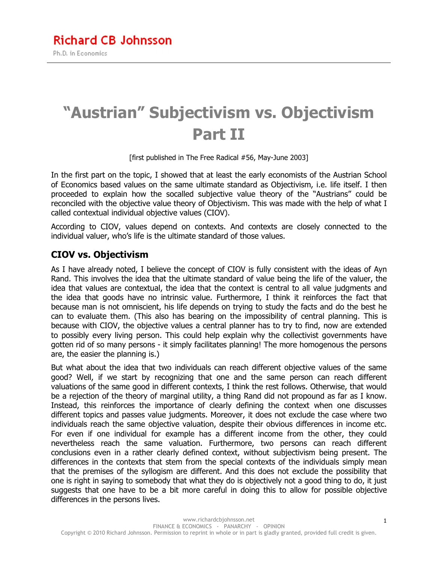# **"Austrian" Subjectivism vs. Objectivism Part II**

[first published in The Free Radical #56, May-June 2003]

In the first part on the topic, I showed that at least the early economists of the Austrian School of Economics based values on the same ultimate standard as Objectivism, i.e. life itself. I then proceeded to explain how the socalled subjective value theory of the "Austrians" could be reconciled with the objective value theory of Objectivism. This was made with the help of what I called contextual individual objective values (CIOV).

According to CIOV, values depend on contexts. And contexts are closely connected to the individual valuer, who's life is the ultimate standard of those values.

### **CIOV vs. Objectivism**

As I have already noted, I believe the concept of CIOV is fully consistent with the ideas of Ayn Rand. This involves the idea that the ultimate standard of value being the life of the valuer, the idea that values are contextual, the idea that the context is central to all value judgments and the idea that goods have no intrinsic value. Furthermore, I think it reinforces the fact that because man is not omniscient, his life depends on trying to study the facts and do the best he can to evaluate them. (This also has bearing on the impossibility of central planning. This is because with CIOV, the objective values a central planner has to try to find, now are extended to possibly every living person. This could help explain why the collectivist governments have gotten rid of so many persons - it simply facilitates planning! The more homogenous the persons are, the easier the planning is.)

But what about the idea that two individuals can reach different objective values of the same good? Well, if we start by recognizing that one and the same person can reach different valuations of the same good in different contexts, I think the rest follows. Otherwise, that would be a rejection of the theory of marginal utility, a thing Rand did not propound as far as I know. Instead, this reinforces the importance of clearly defining the context when one discusses different topics and passes value judgments. Moreover, it does not exclude the case where two individuals reach the same objective valuation, despite their obvious differences in income etc. For even if one individual for example has a different income from the other, they could nevertheless reach the same valuation. Furthermore, two persons can reach different conclusions even in a rather clearly defined context, without subjectivism being present. The differences in the contexts that stem from the special contexts of the individuals simply mean that the premises of the syllogism are different. And this does not exclude the possibility that one is right in saying to somebody that what they do is objectively not a good thing to do, it just suggests that one have to be a bit more careful in doing this to allow for possible objective differences in the persons lives.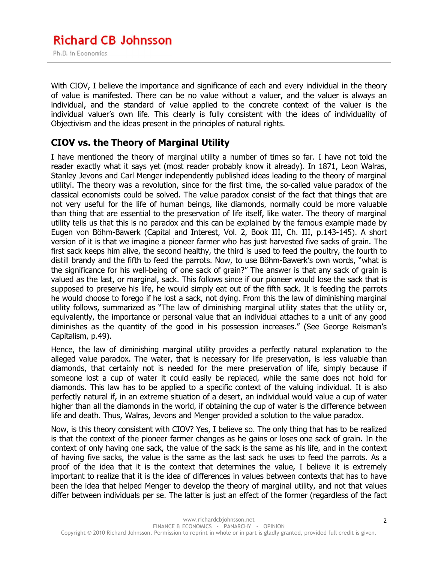With CIOV, I believe the importance and significance of each and every individual in the theory of value is manifested. There can be no value without a valuer, and the valuer is always an individual, and the standard of value applied to the concrete context of the valuer is the individual valuer's own life. This clearly is fully consistent with the ideas of individuality of Objectivism and the ideas present in the principles of natural rights.

### **CIOV vs. the Theory of Marginal Utility**

I have mentioned the theory of marginal utility a number of times so far. I have not told the reader exactly what it says yet (most reader probably know it already). In 1871, Leon Walras, Stanley Jevons and Carl Menger independently published ideas leading to the theory of marginal utilityi. The theory was a revolution, since for the first time, the so-called value paradox of the classical economists could be solved. The value paradox consist of the fact that things that are not very useful for the life of human beings, like diamonds, normally could be more valuable than thing that are essential to the preservation of life itself, like water. The theory of marginal utility tells us that this is no paradox and this can be explained by the famous example made by Eugen von Böhm-Bawerk (Capital and Interest, Vol. 2, Book III, Ch. III, p.143-145). A short version of it is that we imagine a pioneer farmer who has just harvested five sacks of grain. The first sack keeps him alive, the second healthy, the third is used to feed the poultry, the fourth to distill brandy and the fifth to feed the parrots. Now, to use Böhm-Bawerk's own words, "what is the significance for his well-being of one sack of grain?" The answer is that any sack of grain is valued as the last, or marginal, sack. This follows since if our pioneer would lose the sack that is supposed to preserve his life, he would simply eat out of the fifth sack. It is feeding the parrots he would choose to forego if he lost a sack, not dying. From this the law of diminishing marginal utility follows, summarized as "The law of diminishing marginal utility states that the utility or, equivalently, the importance or personal value that an individual attaches to a unit of any good diminishes as the quantity of the good in his possession increases." (See George Reisman's Capitalism, p.49).

Hence, the law of diminishing marginal utility provides a perfectly natural explanation to the alleged value paradox. The water, that is necessary for life preservation, is less valuable than diamonds, that certainly not is needed for the mere preservation of life, simply because if someone lost a cup of water it could easily be replaced, while the same does not hold for diamonds. This law has to be applied to a specific context of the valuing individual. It is also perfectly natural if, in an extreme situation of a desert, an individual would value a cup of water higher than all the diamonds in the world, if obtaining the cup of water is the difference between life and death. Thus, Walras, Jevons and Menger provided a solution to the value paradox.

Now, is this theory consistent with CIOV? Yes, I believe so. The only thing that has to be realized is that the context of the pioneer farmer changes as he gains or loses one sack of grain. In the context of only having one sack, the value of the sack is the same as his life, and in the context of having five sacks, the value is the same as the last sack he uses to feed the parrots. As a proof of the idea that it is the context that determines the value, I believe it is extremely important to realize that it is the idea of differences in values between contexts that has to have been the idea that helped Menger to develop the theory of marginal utility, and not that values differ between individuals per se. The latter is just an effect of the former (regardless of the fact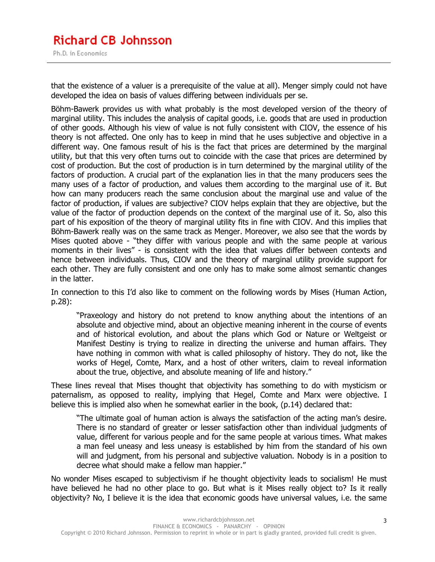that the existence of a valuer is a prerequisite of the value at all). Menger simply could not have developed the idea on basis of values differing between individuals per se.

Böhm-Bawerk provides us with what probably is the most developed version of the theory of marginal utility. This includes the analysis of capital goods, i.e. goods that are used in production of other goods. Although his view of value is not fully consistent with CIOV, the essence of his theory is not affected. One only has to keep in mind that he uses subjective and objective in a different way. One famous result of his is the fact that prices are determined by the marginal utility, but that this very often turns out to coincide with the case that prices are determined by cost of production. But the cost of production is in turn determined by the marginal utility of the factors of production. A crucial part of the explanation lies in that the many producers sees the many uses of a factor of production, and values them according to the marginal use of it. But how can many producers reach the same conclusion about the marginal use and value of the factor of production, if values are subjective? CIOV helps explain that they are objective, but the value of the factor of production depends on the context of the marginal use of it. So, also this part of his exposition of the theory of marginal utility fits in fine with CIOV. And this implies that Böhm-Bawerk really was on the same track as Menger. Moreover, we also see that the words by Mises quoted above - "they differ with various people and with the same people at various moments in their lives" - is consistent with the idea that values differ between contexts and hence between individuals. Thus, CIOV and the theory of marginal utility provide support for each other. They are fully consistent and one only has to make some almost semantic changes in the latter.

In connection to this I'd also like to comment on the following words by Mises (Human Action, p.28):

"Praxeology and history do not pretend to know anything about the intentions of an absolute and objective mind, about an objective meaning inherent in the course of events and of historical evolution, and about the plans which God or Nature or Weltgeist or Manifest Destiny is trying to realize in directing the universe and human affairs. They have nothing in common with what is called philosophy of history. They do not, like the works of Hegel, Comte, Marx, and a host of other writers, claim to reveal information about the true, objective, and absolute meaning of life and history."

These lines reveal that Mises thought that objectivity has something to do with mysticism or paternalism, as opposed to reality, implying that Hegel, Comte and Marx were objective. I believe this is implied also when he somewhat earlier in the book, (p.14) declared that:

"The ultimate goal of human action is always the satisfaction of the acting man's desire. There is no standard of greater or lesser satisfaction other than individual judgments of value, different for various people and for the same people at various times. What makes a man feel uneasy and less uneasy is established by him from the standard of his own will and judgment, from his personal and subjective valuation. Nobody is in a position to decree what should make a fellow man happier."

No wonder Mises escaped to subjectivism if he thought objectivity leads to socialism! He must have believed he had no other place to go. But what is it Mises really object to? Is it really objectivity? No, I believe it is the idea that economic goods have universal values, i.e. the same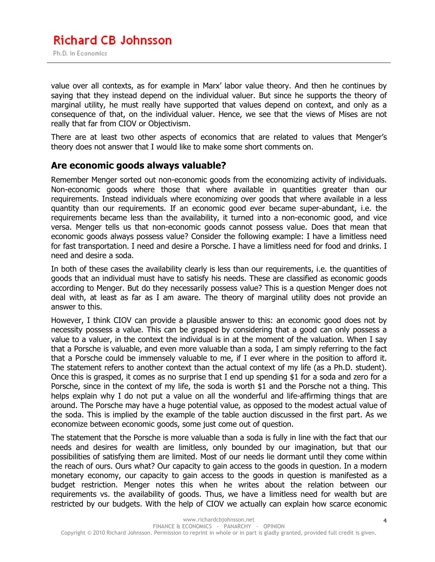value over all contexts, as for example in Marx' labor value theory. And then he continues by saying that they instead depend on the individual valuer. But since he supports the theory of marginal utility, he must really have supported that values depend on context, and only as a consequence of that, on the individual valuer. Hence, we see that the views of Mises are not really that far from CIOV or Objectivism.

There are at least two other aspects of economics that are related to values that Menger's theory does not answer that I would like to make some short comments on.

### **Are economic goods always valuable?**

Remember Menger sorted out non-economic goods from the economizing activity of individuals. Non-economic goods where those that where available in quantities greater than our requirements. Instead individuals where economizing over goods that where available in a less quantity than our requirements. If an economic good ever became super-abundant, i.e. the requirements became less than the availability, it turned into a non-economic good, and vice versa. Menger tells us that non-economic goods cannot possess value. Does that mean that economic goods always possess value? Consider the following example: I have a limitless need for fast transportation. I need and desire a Porsche. I have a limitless need for food and drinks. I need and desire a soda.

In both of these cases the availability clearly is less than our requirements, i.e. the quantities of goods that an individual must have to satisfy his needs. These are classified as economic goods according to Menger. But do they necessarily possess value? This is a question Menger does not deal with, at least as far as I am aware. The theory of marginal utility does not provide an answer to this.

However, I think CIOV can provide a plausible answer to this: an economic good does not by necessity possess a value. This can be grasped by considering that a good can only possess a value to a valuer, in the context the individual is in at the moment of the valuation. When I say that a Porsche is valuable, and even more valuable than a soda, I am simply referring to the fact that a Porsche could be immensely valuable to me, if I ever where in the position to afford it. The statement refers to another context than the actual context of my life (as a Ph.D. student). Once this is grasped, it comes as no surprise that I end up spending \$1 for a soda and zero for a Porsche, since in the context of my life, the soda is worth \$1 and the Porsche not a thing. This helps explain why I do not put a value on all the wonderful and life-affirming things that are around. The Porsche may have a huge potential value, as opposed to the modest actual value of the soda. This is implied by the example of the table auction discussed in the first part. As we economize between economic goods, some just come out of question.

The statement that the Porsche is more valuable than a soda is fully in line with the fact that our needs and desires for wealth are limitless, only bounded by our imagination, but that our possibilities of satisfying them are limited. Most of our needs lie dormant until they come within the reach of ours. Ours what? Our capacity to gain access to the goods in question. In a modern monetary economy, our capacity to gain access to the goods in question is manifested as a budget restriction. Menger notes this when he writes about the relation between our requirements vs. the availability of goods. Thus, we have a limitless need for wealth but are restricted by our budgets. With the help of CIOV we actually can explain how scarce economic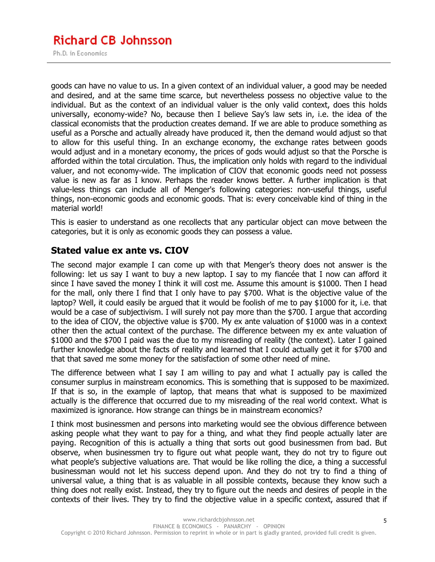# **Richard CB Johnsson**

Ph.D. in Economics

goods can have no value to us. In a given context of an individual valuer, a good may be needed and desired, and at the same time scarce, but nevertheless possess no objective value to the individual. But as the context of an individual valuer is the only valid context, does this holds universally, economy-wide? No, because then I believe Say's law sets in, i.e. the idea of the classical economists that the production creates demand. If we are able to produce something as useful as a Porsche and actually already have produced it, then the demand would adjust so that to allow for this useful thing. In an exchange economy, the exchange rates between goods would adjust and in a monetary economy, the prices of gods would adjust so that the Porsche is afforded within the total circulation. Thus, the implication only holds with regard to the individual valuer, and not economy-wide. The implication of CIOV that economic goods need not possess value is new as far as I know. Perhaps the reader knows better. A further implication is that value-less things can include all of Menger's following categories: non-useful things, useful things, non-economic goods and economic goods. That is: every conceivable kind of thing in the material world!

This is easier to understand as one recollects that any particular object can move between the categories, but it is only as economic goods they can possess a value.

### **Stated value ex ante vs. CIOV**

The second major example I can come up with that Menger's theory does not answer is the following: let us say I want to buy a new laptop. I say to my fiancée that I now can afford it since I have saved the money I think it will cost me. Assume this amount is \$1000. Then I head for the mall, only there I find that I only have to pay \$700. What is the objective value of the laptop? Well, it could easily be argued that it would be foolish of me to pay \$1000 for it, i.e. that would be a case of subjectivism. I will surely not pay more than the \$700. I argue that according to the idea of CIOV, the objective value is \$700. My ex ante valuation of \$1000 was in a context other then the actual context of the purchase. The difference between my ex ante valuation of \$1000 and the \$700 I paid was the due to my misreading of reality (the context). Later I gained further knowledge about the facts of reality and learned that I could actually get it for \$700 and that that saved me some money for the satisfaction of some other need of mine.

The difference between what I say I am willing to pay and what I actually pay is called the consumer surplus in mainstream economics. This is something that is supposed to be maximized. If that is so, in the example of laptop, that means that what is supposed to be maximized actually is the difference that occurred due to my misreading of the real world context. What is maximized is ignorance. How strange can things be in mainstream economics?

I think most businessmen and persons into marketing would see the obvious difference between asking people what they want to pay for a thing, and what they find people actually later are paying. Recognition of this is actually a thing that sorts out good businessmen from bad. But observe, when businessmen try to figure out what people want, they do not try to figure out what people's subjective valuations are. That would be like rolling the dice, a thing a successful businessman would not let his success depend upon. And they do not try to find a thing of universal value, a thing that is as valuable in all possible contexts, because they know such a thing does not really exist. Instead, they try to figure out the needs and desires of people in the contexts of their lives. They try to find the objective value in a specific context, assured that if